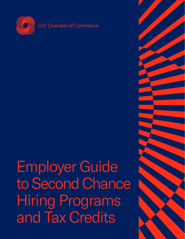

Employer Guide to Second Chance Hiring Programs and Tax Credits

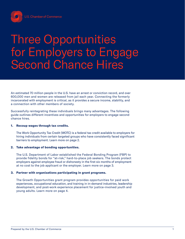

## Three Opportunities for Employers to Engage Second Chance Hires

An estimated 70 million people in the U.S. have an arrest or conviction record, and over 600,000 men and women are released from jail each year. Connecting the formerly incarcerated with employment is critical, as it provides a secure income, stability, and a connection with other members of society.

Successfully reintegrating these individuals brings many advantages. The following guide outlines different incentives and opportunities for employers to engage second chance hires.

#### 1. Recoup wages through tax credits.

The Work Opportunity Tax Credit (WOTC) is a federal tax credit available to employers for hiring individuals from certain targeted groups who have consistently faced significant barriers to employment. Learn more on page 2.

### 2. Take advantage of bonding opportunities.

The U.S. Department of Labor established the Federal Bonding Program (FBP) to provide fidelity bonds for "at-risk," hard-to-place job seekers. The bonds protect employers against employee fraud or dishonesty in the first six months of employment at no cost to the job applicant or the employer. Learn more on page 3.

### 3. Partner with organizations participating in grant programs.

The Growth Opportunities grant program provides opportunities for paid work experiences, occupational education, and training in in-demand industries, leadership development, and post-work experience placement for justice-involved youth and young adults. Learn more on page 4.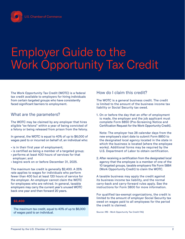

# Employer Guide to the Work Opportunity Tax Credit

The Work Opportunity Tax Credit (WOTC) is a federal tax credit available to employers for hiring individuals from certain [targeted groups](https://www.irs.gov/businesses/small-businesses-self-employed/work-opportunity-tax-credit#targeted) who have consistently faced significant barriers to employment.

## What are the parameters?

The WOTC may be claimed by any employer that hires eligible ["ex-felons](https://www.irs.gov/businesses/small-businesses-self-employed/work-opportunity-tax-credit#collapseCollapsible1638290309613)" within a year of being convicted of a felony or being released from prison from the felony.

In general, the WOTC is equal to 40% of up to \$6,000 of wages paid to or incurred on behalf of, an individual who:

- is in their first year of employment;
- is certified as being a member of a targeted group;
- performs at least 400 hours of services for that employer; and
- begins work on or before December 31, 2025.

The maximum tax credit is generally \$2,400. A 25% rate applies to wages for individuals who perform fewer than 400 but at least 120 hours of service for the employer. An employer cannot claim the WOTC for employees who are rehired. In general, taxable employers may carry the current year's unused WOTC back one year and then forward 20 years.

### \$2,400

The maximum tax credit, equal to 40% of up to \$6,000 of wages paid to an individual.

## How do I claim this credit?

The WOTC is a general business credit. The credit is limited to the amount of the business income tax liability or Social Security tax owed.

1. On or before the day that an offer of employment is made, the employer and the job applicant must complete [Form 8850](https://www.irs.gov/instructions/i8850) (Pre-Screening Notice and Certification Request for the Work Opportunity Credit).

Note: The employer has 28 calendar days from the new employee's start date to submit Form 8850 to the designated local agency located in the state in which the business is located (where the employee works). Additional forms may be required by the U.S. Department of Labor to obtain certification.

2. After receiving a certification from the designated local agency that the employee is a member of one of the 10 targeted groups, taxable employers file [Form 5884](https://www.irs.gov/forms-pubs/about-form-5884)  (Work Opportunity Credit) to claim the WOTC.

A taxable business may apply the credit against its business income tax liability, and the normal carry-back and carry-forward rules apply. See the instructions for [Form 3800](https://www.irs.gov/instructions/i3800) for more information.

For qualified tax-exempt organizations, the credit is limited to the amount of employer Social Security tax owed on wages paid to all employees for the period the credit is claimed.

Source: [IRS - Work Opportunity Tax Credit FAQ](https://www.irs.gov/businesses/small-businesses-self-employed/work-opportunity-tax-credit#targeted)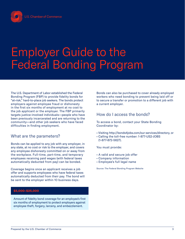

# Employer Guide to the Federal Bonding Program

The U.S. Department of Labor established [the Federal](https://bonds4jobs.com/our-services/employers)  [Bonding Program](https://bonds4jobs.com/our-services/employers) (FBP) to provide fidelity bonds for "at-risk," hard-to-place job seekers. The bonds protect employers against employee fraud or dishonesty in the first six months of employment at no cost to the job applicant or the employer. The FBP primarily targets justice-involved individuals—people who have been previously incarcerated and are returning to the community—and other job seekers who have faced difficulties in finding employment.

### What are the parameters?

Bonds can be applied to any job with any employer, in any state, at no cost or risk to the employer, and covers any employee dishonesty committed on or away from the workplace. Full-time, part-time, and temporary employees receiving paid wages (with federal taxes automatically deducted from pay) can be bonded.

Coverage begins once an applicant receives a job offer and supports employees who have federal taxes automatically deducted from their pay. The bond will be sent to the employer within 10 business days.

### \$5,000–\$25,000

Amount of fidelity bond coverage for an employee's first six months of employment to protect employers against employee theft, forgery, larceny, and embezzlement.

Bonds can also be purchased to cover already employed workers who need bonding to prevent being laid off or to secure a transfer or promotion to a different job with a current employer.

## How do I access the bonds?

To access a bond, contact your State Bonding Coordinator by:

- Visiting [http://bonds4jobs.com/our-services/directory,](http://bonds4jobs.com/our‐services/directory) or
- Calling the toll-free number: 1-877-US2-JOBS (1-877-872-5627).

You must provide:

- A valid and secure job offer
- Company information
- Employee's full legal name

Source: [The Federal Bonding Program Website](https://bonds4jobs.com/our-services/employers)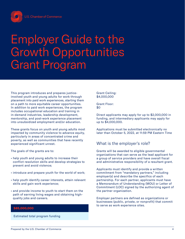

# Employer Guide to the Growth Opportunities Grant Program

This program introduces and prepares justiceinvolved youth and young adults for work through placement into paid work experiences, starting them on a path to more equitable career opportunities. In addition to paid work experiences, the program includes occupational education and training in in-demand industries, leadership development, mentorship, and post-work experience placement into unsubsidized employment and/or education.

These grants focus on youth and young adults most impacted by community violence to advance equity, particularly in areas of concentrated crime and poverty, as well as communities that have recently experienced significant unrest.

The goals of the grants are to:

- help youth and young adults to increase their conflict resolution skills and develop strategies to prevent and avoid violence;
- introduce and prepare youth for the world of work;
- help youth identify career interests, attain relevant skills and gain work experience;
- and provide income to youth to start them on the path of earning living wages and obtaining highquality jobs and careers.

### \$85,000,000

Estimated total program funding

Grant Ceiling: \$4,000,000

Grant Floor: \$0

Direct applicants may apply for up to \$2,000,000 in funding, and intermediary applicants may apply for up to \$4,000,000.

Applications must be submitted electronically no later than October 5, 2022, at 11:59 PM Eastern Time

## What is the employer's role?

Grants will be awarded to eligible governmental organizations that can serve as the lead applicant for a group of service providers and have overall fiscal and administrative responsibility of a resultant grant.

Applicants must identify and provide a written commitment from "mandatory partners," including employer(s) and describe the specifics of each partnership. For each partner, applicants must have a Memorandum of Understanding (MOU) or Letter of Commitment (LOC) signed by the authorizing agent of the partner organization.

Employer partners are defined as organizations or businesses (public, private, or nonprofit) that commit to serve as work experience sites.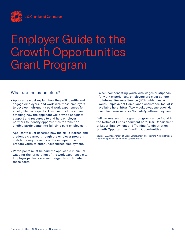

# Employer Guide to the Growth Opportunities Grant Program

## What are the parameters?

- Applicants must explain how they will identify and engage employers, and work with those employers to develop high-quality paid work experiences for all eligible participants. This must include a plan detailing how the applicant will provide adequate support and resources to and help employer partners to identify opportunities to transition eligible participants into full-time paid employment.
- Applicants must describe how the skills learned and credentials earned through the employer program match the requirements of the occupation and prepare youth to enter unsubsidized employment.
- Participants must be paid the applicable minimum wage for the jurisdiction of the work experience site. Employer partners are encouraged to contribute to these costs.

• When compensating youth with wages or stipends for work experiences, employers are must adhere to Internal Revenue Service (IRS) guidelines. A Youth Employment Compliance Assistance Toolkit is available here: [https://www.dol.gov/agencies/whd/](https://www.dol.gov/agencies/whd/compliance-assistance/toolkits/youth-employment) [compliance-assistance/toolkits/youth-employment](https://www.dol.gov/agencies/whd/compliance-assistance/toolkits/youth-employment)

Full parameters of the grant program can be found in the Notice of Funds document here: U.S. Department of Labor [Employment and Training Administration –](https://www.dol.gov/sites/dolgov/files/ETA/grants/pdfs/FOA-ETA-22-03_.pdf)  [Growth Opportunities Funding Opportunities](https://www.dol.gov/sites/dolgov/files/ETA/grants/pdfs/FOA-ETA-22-03_.pdf)

Source: U.S. Department of Labo[r Employment and Training Administration –](https://www.dol.gov/sites/dolgov/files/ETA/grants/pdfs/FOA-ETA-22-03_.pdf)  [Growth Opportunities Funding Opportunities](https://www.dol.gov/sites/dolgov/files/ETA/grants/pdfs/FOA-ETA-22-03_.pdf)